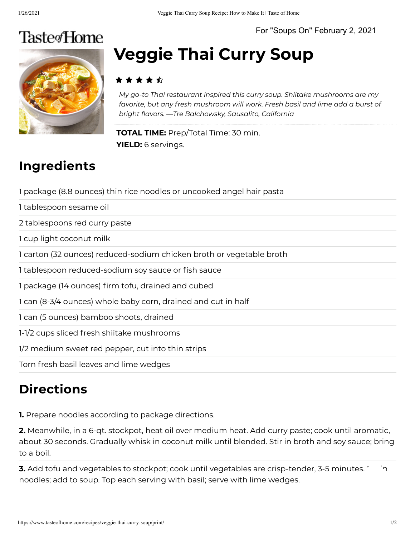For "Soups On" February 2, 2021

## **TasteofHome**



# **Veggie Thai Curry Soup**

#### ▸★★★☆

*My go-to Thai restaurant inspired this curry soup. Shiitake mushrooms are my favorite, but any fresh mushroom will work. Fresh basil and lime add a burst of bright avors. —Tre Balchowsky, Sausalito, California*

**TOTAL TIME:** Prep/Total Time: 30 min. **YIELD:** 6 servings.

#### **Ingredients**

1 package (8.8 ounces) thin rice noodles or uncooked angel hair pasta

1 tablespoon sesame oil

2 tablespoons red curry paste

1 cup light coconut milk

1 carton (32 ounces) reduced-sodium chicken broth or vegetable broth

1 tablespoon reduced-sodium soy sauce or fish sauce

1 package (14 ounces) firm tofu, drained and cubed

1 can (8-3/4 ounces) whole baby corn, drained and cut in half

1 can (5 ounces) bamboo shoots, drained

1-1/2 cups sliced fresh shiitake mushrooms

1/2 medium sweet red pepper, cut into thin strips

Torn fresh basil leaves and lime wedges

### **Directions**

**1.** Prepare noodles according to package directions.

**2.** Meanwhile, in a 6-qt. stockpot, heat oil over medium heat. Add curry paste; cook until aromatic, about 30 seconds. Gradually whisk in coconut milk until blended. Stir in broth and soy sauce; bring to a boil.

**3.** Add tofu and vegetables to stockpot; cook until vegetables are crisp-tender, 3-5 minutes.  $\sim$  n noodles; add to soup. Top each serving with basil; serve with lime wedges.